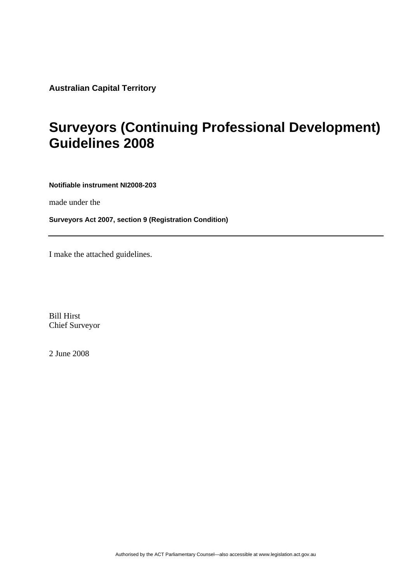**Australian Capital Territory** 

### **Surveyors (Continuing Professional Development) Guidelines 2008**

**Notifiable instrument NI2008-203**

made under the

**Surveyors Act 2007, section 9 (Registration Condition)**

I make the attached guidelines.

Bill Hirst Chief Surveyor

2 June 2008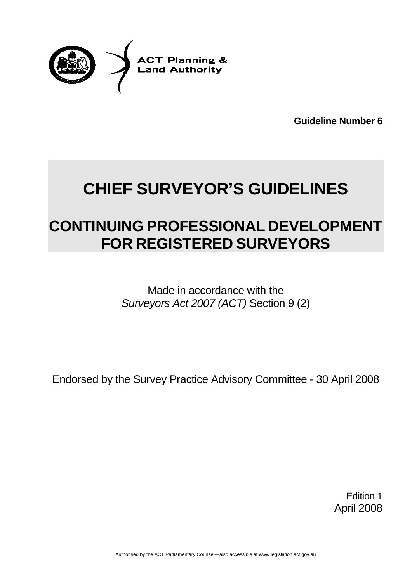

**Guideline Number 6** 

# **CHIEF SURVEYOR'S GUIDELINES**

## **CONTINUING PROFESSIONAL DEVELOPMENT FOR REGISTERED SURVEYORS**

Made in accordance with the *Surveyors Act 2007 (ACT)* Section 9 (2)

Endorsed by the Survey Practice Advisory Committee - 30 April 2008

Edition 1 April 2008

Authorised by the ACT Parliamentary Counsel—also accessible at www.legislation.act.gov.au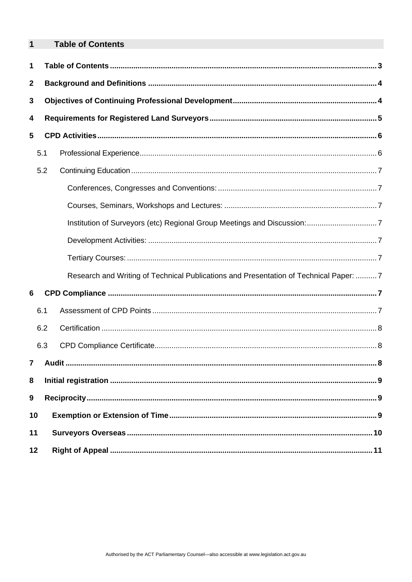<span id="page-2-0"></span>

| 1                |     | <b>Table of Contents</b>                                                              |
|------------------|-----|---------------------------------------------------------------------------------------|
| 1                |     |                                                                                       |
| $\mathbf{2}$     |     |                                                                                       |
| 3                |     |                                                                                       |
| 4                |     |                                                                                       |
| 5                |     |                                                                                       |
|                  | 5.1 |                                                                                       |
|                  | 5.2 |                                                                                       |
|                  |     |                                                                                       |
|                  |     |                                                                                       |
|                  |     |                                                                                       |
|                  |     |                                                                                       |
|                  |     |                                                                                       |
|                  |     | Research and Writing of Technical Publications and Presentation of Technical Paper: 7 |
| 6                |     |                                                                                       |
|                  | 6.1 |                                                                                       |
|                  | 6.2 |                                                                                       |
|                  | 6.3 |                                                                                       |
| $\overline{7}$   |     |                                                                                       |
| 8                |     |                                                                                       |
| $\boldsymbol{9}$ |     |                                                                                       |
|                  | 10  |                                                                                       |
| 11               |     |                                                                                       |
|                  | 12  |                                                                                       |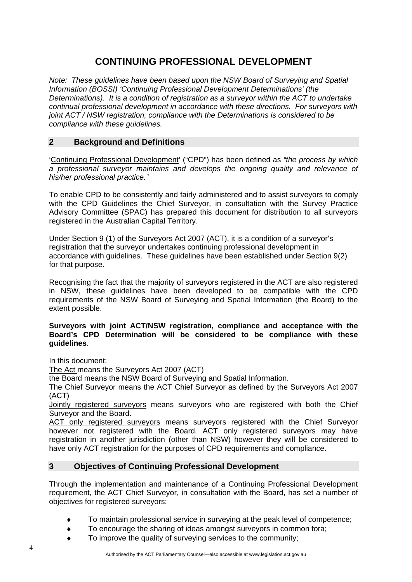### **CONTINUING PROFESSIONAL DEVELOPMENT**

<span id="page-3-0"></span>*Note: These guidelines have been based upon the NSW Board of Surveying and Spatial Information (BOSSI) 'Continuing Professional Development Determinations' (the Determinations). It is a condition of registration as a surveyor within the ACT to undertake continual professional development in accordance with these directions. For surveyors with joint ACT / NSW registration, compliance with the Determinations is considered to be compliance with these guidelines.* 

#### **2 Background and Definitions**

'Continuing Professional Development' ("CPD") has been defined as *"the process by which a professional surveyor maintains and develops the ongoing quality and relevance of his/her professional practice."*

To enable CPD to be consistently and fairly administered and to assist surveyors to comply with the CPD Guidelines the Chief Surveyor, in consultation with the Survey Practice Advisory Committee (SPAC) has prepared this document for distribution to all surveyors registered in the Australian Capital Territory.

Under Section 9 (1) of the Surveyors Act 2007 (ACT), it is a condition of a surveyor's registration that the surveyor undertakes continuing professional development in accordance with guidelines. These guidelines have been established under Section 9(2) for that purpose.

Recognising the fact that the majority of surveyors registered in the ACT are also registered in NSW, these guidelines have been developed to be compatible with the CPD requirements of the NSW Board of Surveying and Spatial Information (the Board) to the extent possible.

#### **Surveyors with joint ACT/NSW registration, compliance and acceptance with the Board's CPD Determination will be considered to be compliance with these guidelines**.

In this document:

The Act means the Surveyors Act 2007 (ACT)

the Board means the NSW Board of Surveying and Spatial Information.

The Chief Surveyor means the ACT Chief Surveyor as defined by the Surveyors Act 2007 (ACT)

Jointly registered surveyors means surveyors who are registered with both the Chief Surveyor and the Board.

ACT only registered surveyors means surveyors registered with the Chief Surveyor however not registered with the Board. ACT only registered surveyors may have registration in another jurisdiction (other than NSW) however they will be considered to have only ACT registration for the purposes of CPD requirements and compliance.

#### **3 Objectives of Continuing Professional Development**

Through the implementation and maintenance of a Continuing Professional Development requirement, the ACT Chief Surveyor, in consultation with the Board, has set a number of objectives for registered surveyors:

- To maintain professional service in surveying at the peak level of competence;
- To encourage the sharing of ideas amongst surveyors in common fora;
- To improve the quality of surveying services to the community;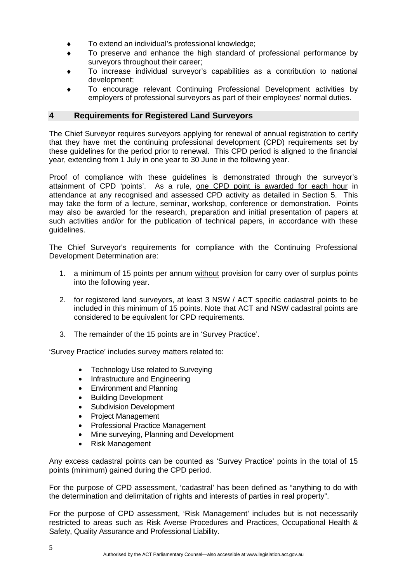- <span id="page-4-0"></span>To extend an individual's professional knowledge;
- To preserve and enhance the high standard of professional performance by surveyors throughout their career;
- To increase individual surveyor's capabilities as a contribution to national development;
- To encourage relevant Continuing Professional Development activities by employers of professional surveyors as part of their employees' normal duties.

#### **4 Requirements for Registered Land Surveyors**

The Chief Surveyor requires surveyors applying for renewal of annual registration to certify that they have met the continuing professional development (CPD) requirements set by these guidelines for the period prior to renewal. This CPD period is aligned to the financial year, extending from 1 July in one year to 30 June in the following year.

Proof of compliance with these guidelines is demonstrated through the surveyor's attainment of CPD 'points'. As a rule, one CPD point is awarded for each hour in attendance at any recognised and assessed CPD activity as detailed in Section 5. This may take the form of a lecture, seminar, workshop, conference or demonstration. Points may also be awarded for the research, preparation and initial presentation of papers at such activities and/or for the publication of technical papers, in accordance with these guidelines.

The Chief Surveyor's requirements for compliance with the Continuing Professional Development Determination are:

- 1. a minimum of 15 points per annum without provision for carry over of surplus points into the following year.
- 2. for registered land surveyors, at least 3 NSW / ACT specific cadastral points to be included in this minimum of 15 points. Note that ACT and NSW cadastral points are considered to be equivalent for CPD requirements.
- 3. The remainder of the 15 points are in 'Survey Practice'.

'Survey Practice' includes survey matters related to:

- Technology Use related to Surveying
- Infrastructure and Engineering
- Environment and Planning
- Building Development
- Subdivision Development
- Project Management
- Professional Practice Management
- Mine surveying, Planning and Development
- Risk Management

Any excess cadastral points can be counted as 'Survey Practice' points in the total of 15 points (minimum) gained during the CPD period.

For the purpose of CPD assessment, 'cadastral' has been defined as "anything to do with the determination and delimitation of rights and interests of parties in real property".

For the purpose of CPD assessment, 'Risk Management' includes but is not necessarily restricted to areas such as Risk Averse Procedures and Practices, Occupational Health & Safety, Quality Assurance and Professional Liability.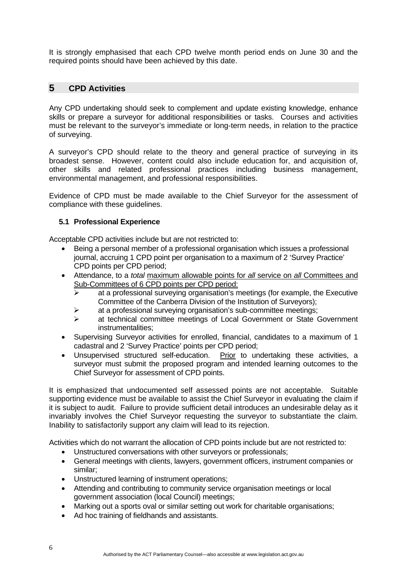<span id="page-5-0"></span>It is strongly emphasised that each CPD twelve month period ends on June 30 and the required points should have been achieved by this date.

#### **5 CPD Activities**

Any CPD undertaking should seek to complement and update existing knowledge, enhance skills or prepare a surveyor for additional responsibilities or tasks. Courses and activities must be relevant to the surveyor's immediate or long-term needs, in relation to the practice of surveying.

A surveyor's CPD should relate to the theory and general practice of surveying in its broadest sense. However, content could also include education for, and acquisition of, other skills and related professional practices including business management, environmental management, and professional responsibilities.

Evidence of CPD must be made available to the Chief Surveyor for the assessment of compliance with these guidelines.

#### **5.1 Professional Experience**

Acceptable CPD activities include but are not restricted to:

- Being a personal member of a professional organisation which issues a professional journal, accruing 1 CPD point per organisation to a maximum of 2 'Survey Practice' CPD points per CPD period;
- Attendance, to a *total* maximum allowable points for *all* service on *all* Committees and Sub-Committees of 6 CPD points per CPD period:
	- $\triangleright$  at a professional surveying organisation's meetings (for example, the Executive Committee of the Canberra Division of the Institution of Surveyors);
	- $\triangleright$  at a professional surveying organisation's sub-committee meetings;
	- ¾ at technical committee meetings of Local Government or State Government instrumentalities;
- Supervising Surveyor activities for enrolled, financial, candidates to a maximum of 1 cadastral and 2 'Survey Practice' points per CPD period;
- Unsupervised structured self-education. Prior to undertaking these activities, a surveyor must submit the proposed program and intended learning outcomes to the Chief Surveyor for assessment of CPD points.

It is emphasized that undocumented self assessed points are not acceptable. Suitable supporting evidence must be available to assist the Chief Surveyor in evaluating the claim if it is subject to audit. Failure to provide sufficient detail introduces an undesirable delay as it invariably involves the Chief Surveyor requesting the surveyor to substantiate the claim. Inability to satisfactorily support any claim will lead to its rejection.

Activities which do not warrant the allocation of CPD points include but are not restricted to:

- Unstructured conversations with other surveyors or professionals;
- General meetings with clients, lawyers, government officers, instrument companies or similar;
- Unstructured learning of instrument operations;
- Attending and contributing to community service organisation meetings or local government association (local Council) meetings;
- Marking out a sports oval or similar setting out work for charitable organisations;
- Ad hoc training of fieldhands and assistants.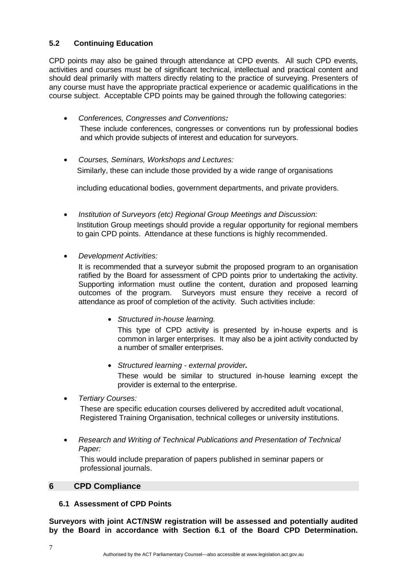#### <span id="page-6-0"></span>**5.2 Continuing Education**

CPD points may also be gained through attendance at CPD events. All such CPD events, activities and courses must be of significant technical, intellectual and practical content and should deal primarily with matters directly relating to the practice of surveying. Presenters of any course must have the appropriate practical experience or academic qualifications in the course subject. Acceptable CPD points may be gained through the following categories:

- *Conferences, Congresses and Conventions:*  These include conferences, congresses or conventions run by professional bodies and which provide subjects of interest and education for surveyors.
- *Courses, Seminars, Workshops and Lectures:*  Similarly, these can include those provided by a wide range of organisations

including educational bodies, government departments, and private providers.

- *Institution of Surveyors (etc) Regional Group Meetings and Discussion:*  Institution Group meetings should provide a regular opportunity for regional members to gain CPD points. Attendance at these functions is highly recommended.
- *Development Activities:*

It is recommended that a surveyor submit the proposed program to an organisation ratified by the Board for assessment of CPD points prior to undertaking the activity. Supporting information must outline the content, duration and proposed learning outcomes of the program. Surveyors must ensure they receive a record of attendance as proof of completion of the activity. Such activities include:

• *Structured in-house learning.* 

This type of CPD activity is presented by in-house experts and is common in larger enterprises. It may also be a joint activity conducted by a number of smaller enterprises.

• *Structured learning - external provider.* 

These would be similar to structured in-house learning except the provider is external to the enterprise.

• *Tertiary Courses:* 

These are specific education courses delivered by accredited adult vocational, Registered Training Organisation, technical colleges or university institutions.

• *Research and Writing of Technical Publications and Presentation of Technical Paper:* 

This would include preparation of papers published in seminar papers or professional journals.

#### **6 CPD Compliance**

#### **6.1 Assessment of CPD Points**

**Surveyors with joint ACT/NSW registration will be assessed and potentially audited by the Board in accordance with Section 6.1 of the Board CPD Determination.**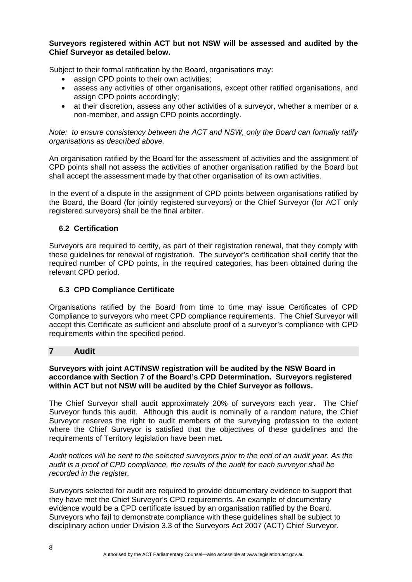#### <span id="page-7-0"></span>**Surveyors registered within ACT but not NSW will be assessed and audited by the Chief Surveyor as detailed below.**

Subject to their formal ratification by the Board, organisations may:

- assign CPD points to their own activities;
- assess any activities of other organisations, except other ratified organisations, and assign CPD points accordingly;
- at their discretion, assess any other activities of a surveyor, whether a member or a non-member, and assign CPD points accordingly.

*Note: to ensure consistency between the ACT and NSW, only the Board can formally ratify organisations as described above.* 

An organisation ratified by the Board for the assessment of activities and the assignment of CPD points shall not assess the activities of another organisation ratified by the Board but shall accept the assessment made by that other organisation of its own activities.

In the event of a dispute in the assignment of CPD points between organisations ratified by the Board, the Board (for jointly registered surveyors) or the Chief Surveyor (for ACT only registered surveyors) shall be the final arbiter.

#### **6.2 Certification**

Surveyors are required to certify, as part of their registration renewal, that they comply with these guidelines for renewal of registration. The surveyor's certification shall certify that the required number of CPD points, in the required categories, has been obtained during the relevant CPD period.

#### **6.3 CPD Compliance Certificate**

Organisations ratified by the Board from time to time may issue Certificates of CPD Compliance to surveyors who meet CPD compliance requirements. The Chief Surveyor will accept this Certificate as sufficient and absolute proof of a surveyor's compliance with CPD requirements within the specified period.

#### **7 Audit**

#### **Surveyors with joint ACT/NSW registration will be audited by the NSW Board in accordance with Section 7 of the Board's CPD Determination. Surveyors registered within ACT but not NSW will be audited by the Chief Surveyor as follows.**

The Chief Surveyor shall audit approximately 20% of surveyors each year. The Chief Surveyor funds this audit. Although this audit is nominally of a random nature, the Chief Surveyor reserves the right to audit members of the surveying profession to the extent where the Chief Surveyor is satisfied that the objectives of these guidelines and the requirements of Territory legislation have been met.

*Audit notices will be sent to the selected surveyors prior to the end of an audit year. As the audit is a proof of CPD compliance, the results of the audit for each surveyor shall be recorded in the register.* 

Surveyors selected for audit are required to provide documentary evidence to support that they have met the Chief Surveyor's CPD requirements. An example of documentary evidence would be a CPD certificate issued by an organisation ratified by the Board. Surveyors who fail to demonstrate compliance with these guidelines shall be subject to disciplinary action under Division 3.3 of the Surveyors Act 2007 (ACT) Chief Surveyor.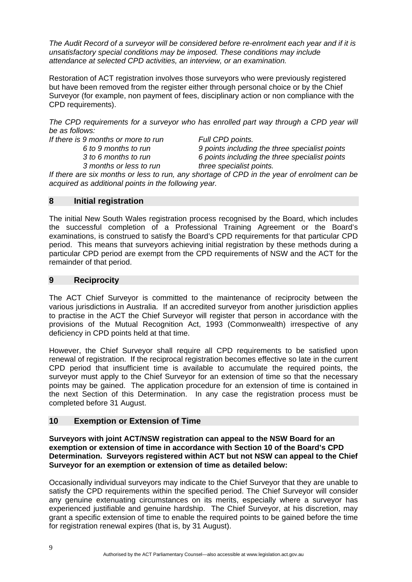<span id="page-8-0"></span>*The Audit Record of a surveyor will be considered before re-enrolment each year and if it is unsatisfactory special conditions may be imposed. These conditions may include attendance at selected CPD activities, an interview, or an examination.* 

Restoration of ACT registration involves those surveyors who were previously registered but have been removed from the register either through personal choice or by the Chief Surveyor (for example, non payment of fees, disciplinary action or non compliance with the CPD requirements).

*The CPD requirements for a surveyor who has enrolled part way through a CPD year will be as follows:* 

*If there is 9 months or more to run Full CPD points.* 

 *6 to 9 months to run 9 points including the three specialist points 3 to 6 months to run 6 points including the three specialist points 3 months or less to run three specialist points.* 

*If there are six months or less to run, any shortage of CPD in the year of enrolment can be acquired as additional points in the following year.* 

#### **8 Initial registration**

The initial New South Wales registration process recognised by the Board, which includes the successful completion of a Professional Training Agreement or the Board's examinations, is construed to satisfy the Board's CPD requirements for that particular CPD period. This means that surveyors achieving initial registration by these methods during a particular CPD period are exempt from the CPD requirements of NSW and the ACT for the remainder of that period.

#### **9 Reciprocity**

The ACT Chief Surveyor is committed to the maintenance of reciprocity between the various jurisdictions in Australia. If an accredited surveyor from another jurisdiction applies to practise in the ACT the Chief Surveyor will register that person in accordance with the provisions of the Mutual Recognition Act, 1993 (Commonwealth) irrespective of any deficiency in CPD points held at that time.

However, the Chief Surveyor shall require all CPD requirements to be satisfied upon renewal of registration. If the reciprocal registration becomes effective so late in the current CPD period that insufficient time is available to accumulate the required points, the surveyor must apply to the Chief Surveyor for an extension of time so that the necessary points may be gained. The application procedure for an extension of time is contained in the next Section of this Determination. In any case the registration process must be completed before 31 August.

#### **10 Exemption or Extension of Time**

**Surveyors with joint ACT/NSW registration can appeal to the NSW Board for an exemption or extension of time in accordance with Section 10 of the Board's CPD Determination. Surveyors registered within ACT but not NSW can appeal to the Chief Surveyor for an exemption or extension of time as detailed below:** 

Occasionally individual surveyors may indicate to the Chief Surveyor that they are unable to satisfy the CPD requirements within the specified period. The Chief Surveyor will consider any genuine extenuating circumstances on its merits, especially where a surveyor has experienced justifiable and genuine hardship. The Chief Surveyor, at his discretion, may grant a specific extension of time to enable the required points to be gained before the time for registration renewal expires (that is, by 31 August).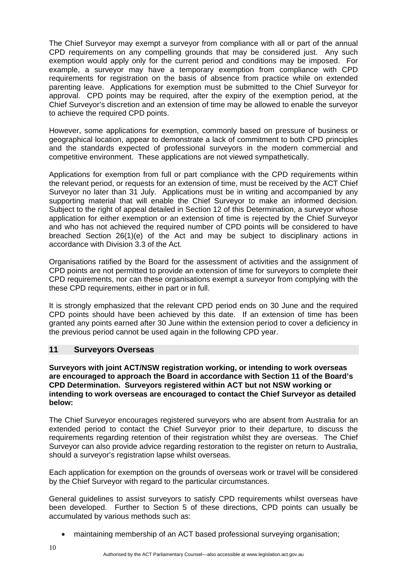<span id="page-9-0"></span>The Chief Surveyor may exempt a surveyor from compliance with all or part of the annual CPD requirements on any compelling grounds that may be considered just. Any such exemption would apply only for the current period and conditions may be imposed. For example, a surveyor may have a temporary exemption from compliance with CPD requirements for registration on the basis of absence from practice while on extended parenting leave. Applications for exemption must be submitted to the Chief Surveyor for approval. CPD points may be required, after the expiry of the exemption period, at the Chief Surveyor's discretion and an extension of time may be allowed to enable the surveyor to achieve the required CPD points.

However, some applications for exemption, commonly based on pressure of business or geographical location, appear to demonstrate a lack of commitment to both CPD principles and the standards expected of professional surveyors in the modern commercial and competitive environment. These applications are not viewed sympathetically.

Applications for exemption from full or part compliance with the CPD requirements within the relevant period, or requests for an extension of time, must be received by the ACT Chief Surveyor no later than 31 July. Applications must be in writing and accompanied by any supporting material that will enable the Chief Surveyor to make an informed decision. Subject to the right of appeal detailed in Section 12 of this Determination, a surveyor whose application for either exemption or an extension of time is rejected by the Chief Surveyor and who has not achieved the required number of CPD points will be considered to have breached Section 26(1)(e) of the Act and may be subject to disciplinary actions in accordance with Division 3.3 of the Act.

Organisations ratified by the Board for the assessment of activities and the assignment of CPD points are not permitted to provide an extension of time for surveyors to complete their CPD requirements, nor can these organisations exempt a surveyor from complying with the these CPD requirements, either in part or in full.

It is strongly emphasized that the relevant CPD period ends on 30 June and the required CPD points should have been achieved by this date. If an extension of time has been granted any points earned after 30 June within the extension period to cover a deficiency in the previous period cannot be used again in the following CPD year.

#### **11 Surveyors Overseas**

**Surveyors with joint ACT/NSW registration working, or intending to work overseas are encouraged to approach the Board in accordance with Section 11 of the Board's CPD Determination. Surveyors registered within ACT but not NSW working or intending to work overseas are encouraged to contact the Chief Surveyor as detailed below:** 

The Chief Surveyor encourages registered surveyors who are absent from Australia for an extended period to contact the Chief Surveyor prior to their departure, to discuss the requirements regarding retention of their registration whilst they are overseas. The Chief Surveyor can also provide advice regarding restoration to the register on return to Australia, should a surveyor's registration lapse whilst overseas.

Each application for exemption on the grounds of overseas work or travel will be considered by the Chief Surveyor with regard to the particular circumstances.

General guidelines to assist surveyors to satisfy CPD requirements whilst overseas have been developed. Further to Section 5 of these directions, CPD points can usually be accumulated by various methods such as:

• maintaining membership of an ACT based professional surveying organisation;